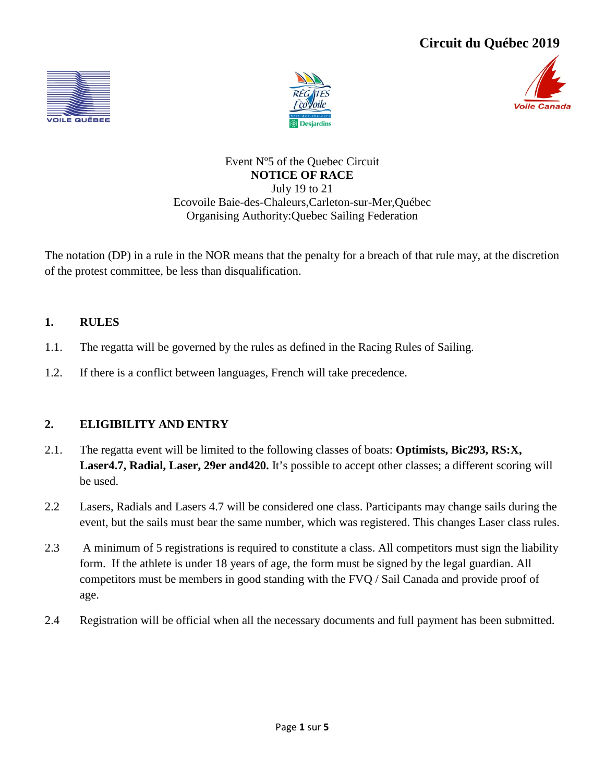# **Circuit du Québec 2019**







Event Nº5 of the Quebec Circuit **NOTICE OF RACE** July 19 to 21 Ecovoile Baie-des-Chaleurs,Carleton-sur-Mer,Québec Organising Authority:Quebec Sailing Federation

The notation (DP) in a rule in the NOR means that the penalty for a breach of that rule may, at the discretion of the protest committee, be less than disqualification.

### **1. RULES**

- 1.1. The regatta will be governed by the rules as defined in the Racing Rules of Sailing.
- 1.2. If there is a conflict between languages, French will take precedence.

## **2. ELIGIBILITY AND ENTRY**

- 2.1. The regatta event will be limited to the following classes of boats: **Optimists, Bic293, RS:X, Laser4.7, Radial, Laser, 29er and420.** It's possible to accept other classes; a different scoring will be used.
- 2.2 Lasers, Radials and Lasers 4.7 will be considered one class. Participants may change sails during the event, but the sails must bear the same number, which was registered. This changes Laser class rules.
- 2.3 A minimum of 5 registrations is required to constitute a class. All competitors must sign the liability form. If the athlete is under 18 years of age, the form must be signed by the legal guardian. All competitors must be members in good standing with the FVQ / Sail Canada and provide proof of age.
- 2.4 Registration will be official when all the necessary documents and full payment has been submitted.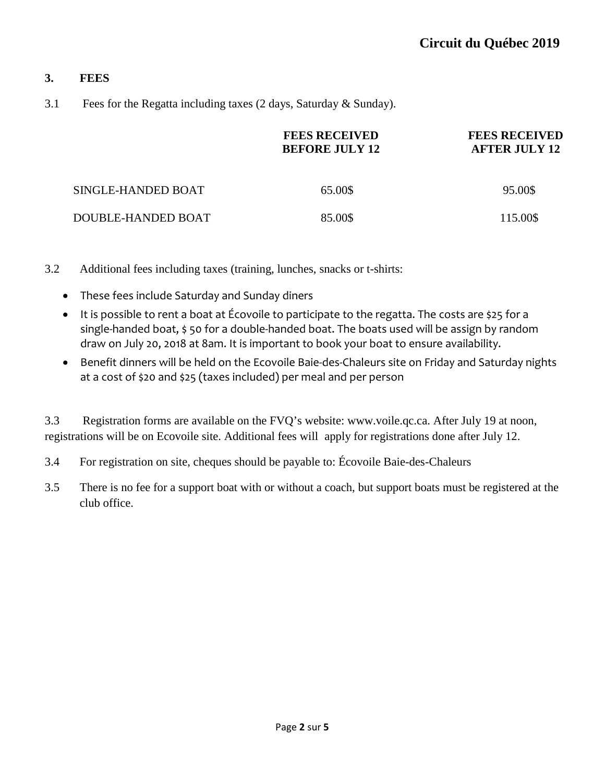#### **3. FEES**

3.1 Fees for the Regatta including taxes (2 days, Saturday & Sunday).

|                    | <b>FEES RECEIVED</b><br><b>BEFORE JULY 12</b> | <b>FEES RECEIVED</b><br><b>AFTER JULY 12</b> |
|--------------------|-----------------------------------------------|----------------------------------------------|
| SINGLE-HANDED BOAT | 65.00\$                                       | 95.00\$                                      |
| DOUBLE-HANDED BOAT | 85.00\$                                       | 115.00\$                                     |

- 3.2 Additional fees including taxes (training, lunches, snacks or t-shirts:
	- These fees include Saturday and Sunday diners
	- It is possible to rent a boat at Écovoile to participate to the regatta. The costs are \$25 for a single-handed boat, \$ 50 for a double-handed boat. The boats used will be assign by random draw on July 20, 2018 at 8am. It is important to book your boat to ensure availability.
	- Benefit dinners will be held on the Ecovoile Baie-des-Chaleurs site on Friday and Saturday nights at a cost of \$20 and \$25 (taxes included) per meal and per person

3.3 Registration forms are available on the FVQ's website: www.voile.qc.ca. After July 19 at noon, registrations will be on Ecovoile site. Additional fees will apply for registrations done after July 12.

- 3.4 For registration on site, cheques should be payable to: Écovoile Baie-des-Chaleurs
- 3.5 There is no fee for a support boat with or without a coach, but support boats must be registered at the club office.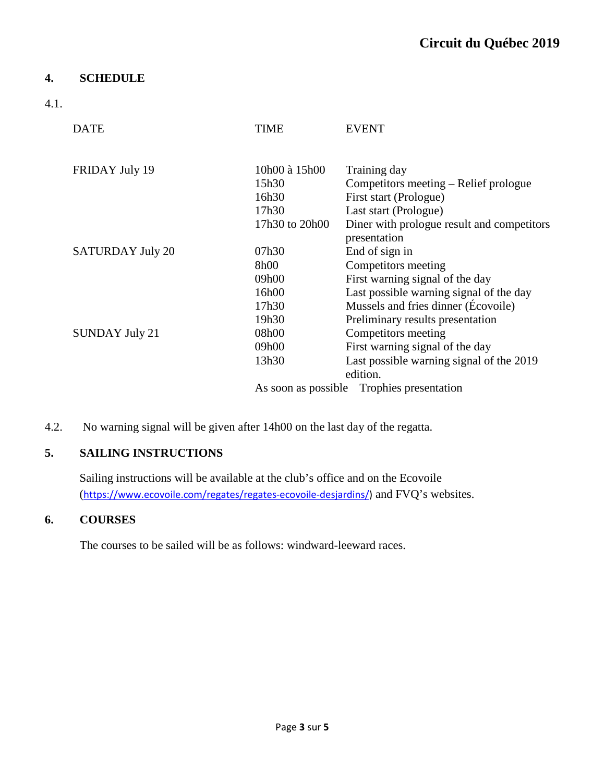## **4. SCHEDULE**

4.1.

| <b>DATE</b>             | <b>TIME</b>                               | <b>EVENT</b>                               |
|-------------------------|-------------------------------------------|--------------------------------------------|
|                         |                                           |                                            |
| FRIDAY July 19          | 10h00 à 15h00                             | Training day                               |
|                         | 15h30                                     | Competitors meeting – Relief prologue      |
|                         | 16h30                                     | First start (Prologue)                     |
|                         | 17h30                                     | Last start (Prologue)                      |
|                         | 17h30 to 20h00                            | Diner with prologue result and competitors |
|                         |                                           | presentation                               |
| <b>SATURDAY July 20</b> | 07h30                                     | End of sign in                             |
|                         | 8h00                                      | Competitors meeting                        |
|                         | 09h00                                     | First warning signal of the day            |
|                         | 16h00                                     | Last possible warning signal of the day    |
|                         | 17h30                                     | Mussels and fries dinner (Écovoile)        |
|                         | 19h30                                     | Preliminary results presentation           |
| <b>SUNDAY July 21</b>   | 08h00                                     | Competitors meeting                        |
|                         | 09h00                                     | First warning signal of the day            |
|                         | 13h30                                     | Last possible warning signal of the 2019   |
|                         |                                           | edition.                                   |
|                         | As soon as possible Trophies presentation |                                            |

4.2. No warning signal will be given after 14h00 on the last day of the regatta.

## **5. SAILING INSTRUCTIONS**

Sailing instructions will be available at the club's office and on the Ecovoile ([https://www.ecovoile.com/regates/regates-ecovoile-desjardins/\)](https://www.ecovoile.com/regates/regates-ecovoile-desjardins/) and FVQ's websites.

## **6. COURSES**

The courses to be sailed will be as follows: windward-leeward races.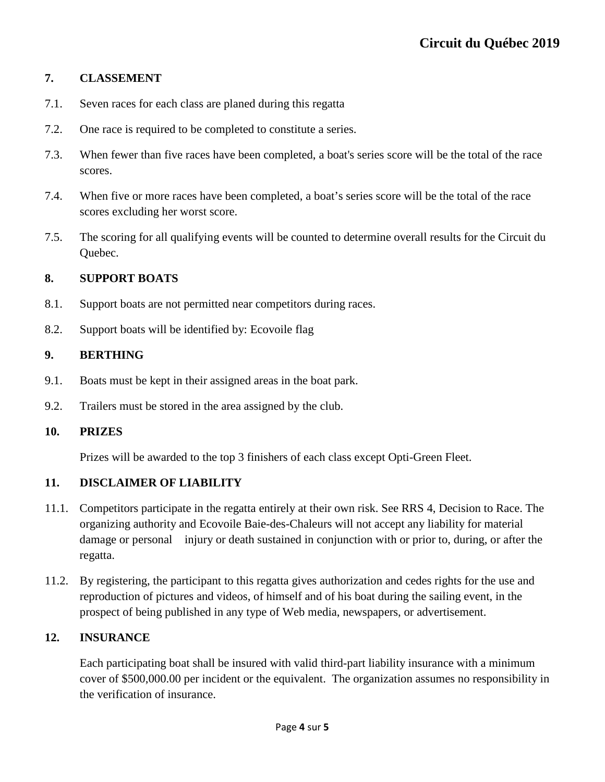### **7. CLASSEMENT**

- 7.1. Seven races for each class are planed during this regatta
- 7.2. One race is required to be completed to constitute a series.
- 7.3. When fewer than five races have been completed, a boat's series score will be the total of the race scores.
- 7.4. When five or more races have been completed, a boat's series score will be the total of the race scores excluding her worst score.
- 7.5. The scoring for all qualifying events will be counted to determine overall results for the Circuit du Quebec.

### **8. SUPPORT BOATS**

- 8.1. Support boats are not permitted near competitors during races.
- 8.2. Support boats will be identified by: Ecovoile flag

### **9. BERTHING**

- 9.1. Boats must be kept in their assigned areas in the boat park.
- 9.2. Trailers must be stored in the area assigned by the club.

#### **10. PRIZES**

Prizes will be awarded to the top 3 finishers of each class except Opti-Green Fleet.

## **11. DISCLAIMER OF LIABILITY**

- 11.1. Competitors participate in the regatta entirely at their own risk. See RRS 4, Decision to Race. The organizing authority and Ecovoile Baie-des-Chaleurs will not accept any liability for material damage or personal injury or death sustained in conjunction with or prior to, during, or after the regatta.
- 11.2. By registering, the participant to this regatta gives authorization and cedes rights for the use and reproduction of pictures and videos, of himself and of his boat during the sailing event, in the prospect of being published in any type of Web media, newspapers, or advertisement.

## **12. INSURANCE**

Each participating boat shall be insured with valid third-part liability insurance with a minimum cover of \$500,000.00 per incident or the equivalent. The organization assumes no responsibility in the verification of insurance.